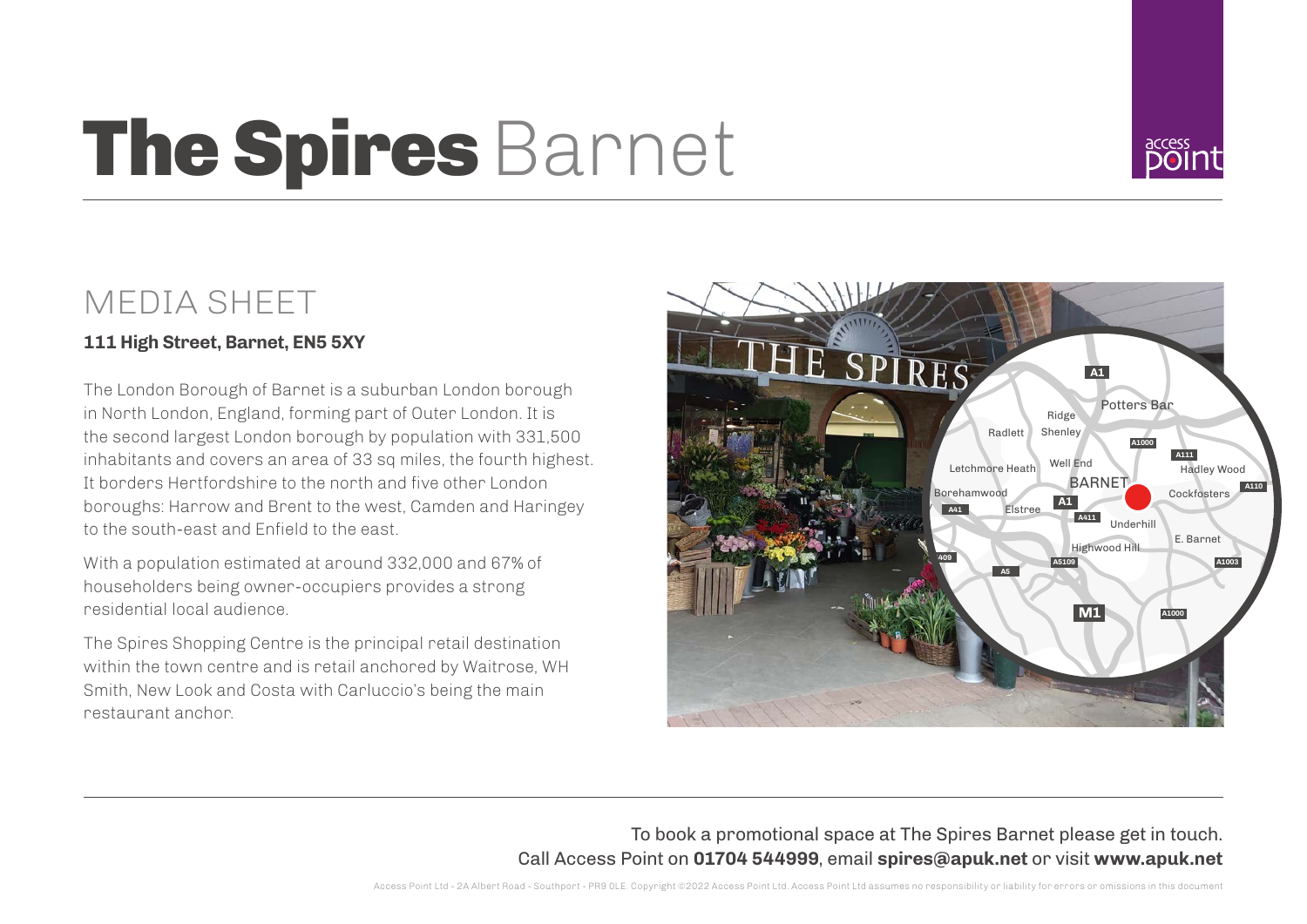# The Spires Barnet



### MEDIA SHEET

#### **111 High Street, Barnet, EN5 5XY**

The London Borough of Barnet is a suburban London borough in North London, England, forming part of Outer London. It is the second largest London borough by population with 331,500 inhabitants and covers an area of 33 sq miles, the fourth highest. It borders Hertfordshire to the north and five other London boroughs: Harrow and Brent to the west, Camden and Haringey to the south-east and Enfield to the east.

With a population estimated at around 332,000 and 67% of householders being owner-occupiers provides a strong residential local audience.

The Spires Shopping Centre is the principal retail destination within the town centre and is retail anchored by Waitrose, WH Smith, New Look and Costa with Carluccio's being the main restaurant anchor.



#### To book a promotional space at The Spires Barnet please get in touch. Call Access Point on **01704 544999**, email **spires@apuk.net** or visit **www.apuk.net**